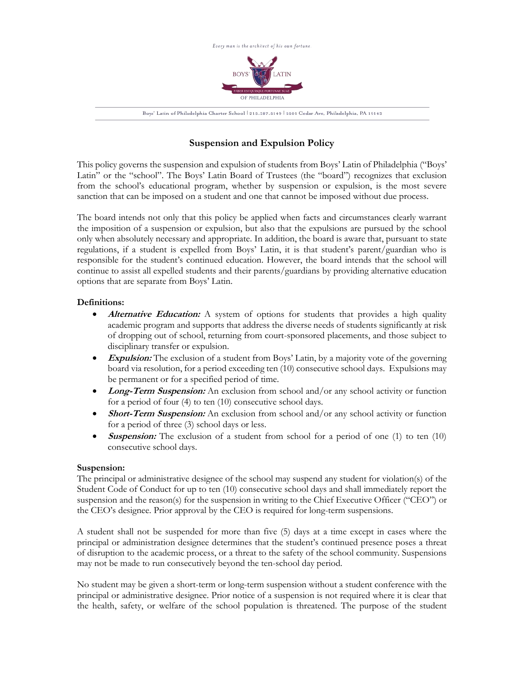

# **Suspension and Expulsion Policy**

This policy governs the suspension and expulsion of students from Boys' Latin of Philadelphia ("Boys' Latin" or the "school". The Boys' Latin Board of Trustees (the "board") recognizes that exclusion from the school's educational program, whether by suspension or expulsion, is the most severe sanction that can be imposed on a student and one that cannot be imposed without due process.

The board intends not only that this policy be applied when facts and circumstances clearly warrant the imposition of a suspension or expulsion, but also that the expulsions are pursued by the school only when absolutely necessary and appropriate. In addition, the board is aware that, pursuant to state regulations, if a student is expelled from Boys' Latin, it is that student's parent/guardian who is responsible for the student's continued education. However, the board intends that the school will continue to assist all expelled students and their parents/guardians by providing alternative education options that are separate from Boys' Latin.

# **Definitions:**

- **Alternative Education:** A system of options for students that provides a high quality academic program and supports that address the diverse needs of students significantly at risk of dropping out of school, returning from court-sponsored placements, and those subject to disciplinary transfer or expulsion.
- **Expulsion:** The exclusion of a student from Boys' Latin, by a majority vote of the governing board via resolution, for a period exceeding ten (10) consecutive school days. Expulsions may be permanent or for a specified period of time.
- **Long-Term Suspension:** An exclusion from school and/or any school activity or function for a period of four (4) to ten (10) consecutive school days.
- **Short-Term Suspension:** An exclusion from school and/or any school activity or function for a period of three (3) school days or less.
- **Suspension:** The exclusion of a student from school for a period of one (1) to ten (10) consecutive school days.

# **Suspension:**

The principal or administrative designee of the school may suspend any student for violation(s) of the Student Code of Conduct for up to ten (10) consecutive school days and shall immediately report the suspension and the reason(s) for the suspension in writing to the Chief Executive Officer ("CEO") or the CEO's designee. Prior approval by the CEO is required for long-term suspensions.

A student shall not be suspended for more than five (5) days at a time except in cases where the principal or administration designee determines that the student's continued presence poses a threat of disruption to the academic process, or a threat to the safety of the school community. Suspensions may not be made to run consecutively beyond the ten-school day period.

No student may be given a short-term or long-term suspension without a student conference with the principal or administrative designee. Prior notice of a suspension is not required where it is clear that the health, safety, or welfare of the school population is threatened. The purpose of the student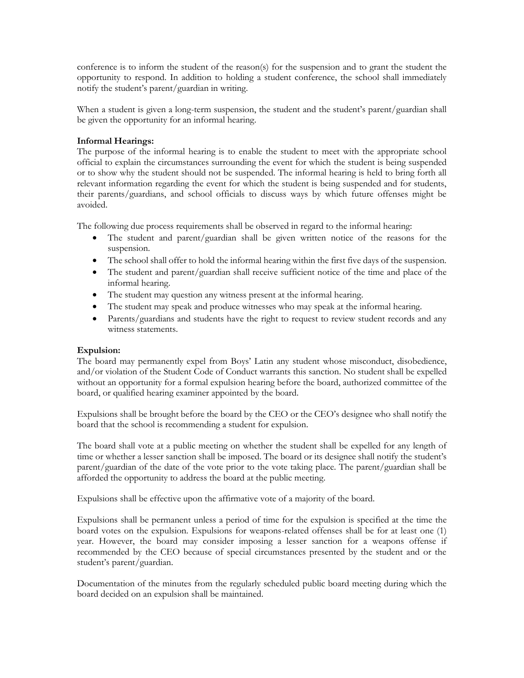conference is to inform the student of the reason(s) for the suspension and to grant the student the opportunity to respond. In addition to holding a student conference, the school shall immediately notify the student's parent/guardian in writing.

When a student is given a long-term suspension, the student and the student's parent/guardian shall be given the opportunity for an informal hearing.

# **Informal Hearings:**

The purpose of the informal hearing is to enable the student to meet with the appropriate school official to explain the circumstances surrounding the event for which the student is being suspended or to show why the student should not be suspended. The informal hearing is held to bring forth all relevant information regarding the event for which the student is being suspended and for students, their parents/guardians, and school officials to discuss ways by which future offenses might be avoided.

The following due process requirements shall be observed in regard to the informal hearing:

- The student and parent/guardian shall be given written notice of the reasons for the suspension.
- The school shall offer to hold the informal hearing within the first five days of the suspension.
- The student and parent/guardian shall receive sufficient notice of the time and place of the informal hearing.
- The student may question any witness present at the informal hearing.
- The student may speak and produce witnesses who may speak at the informal hearing.
- Parents/guardians and students have the right to request to review student records and any witness statements.

# **Expulsion:**

The board may permanently expel from Boys' Latin any student whose misconduct, disobedience, and/or violation of the Student Code of Conduct warrants this sanction. No student shall be expelled without an opportunity for a formal expulsion hearing before the board, authorized committee of the board, or qualified hearing examiner appointed by the board.

Expulsions shall be brought before the board by the CEO or the CEO's designee who shall notify the board that the school is recommending a student for expulsion.

The board shall vote at a public meeting on whether the student shall be expelled for any length of time or whether a lesser sanction shall be imposed. The board or its designee shall notify the student's parent/guardian of the date of the vote prior to the vote taking place. The parent/guardian shall be afforded the opportunity to address the board at the public meeting.

Expulsions shall be effective upon the affirmative vote of a majority of the board.

Expulsions shall be permanent unless a period of time for the expulsion is specified at the time the board votes on the expulsion. Expulsions for weapons-related offenses shall be for at least one (1) year. However, the board may consider imposing a lesser sanction for a weapons offense if recommended by the CEO because of special circumstances presented by the student and or the student's parent/guardian.

Documentation of the minutes from the regularly scheduled public board meeting during which the board decided on an expulsion shall be maintained.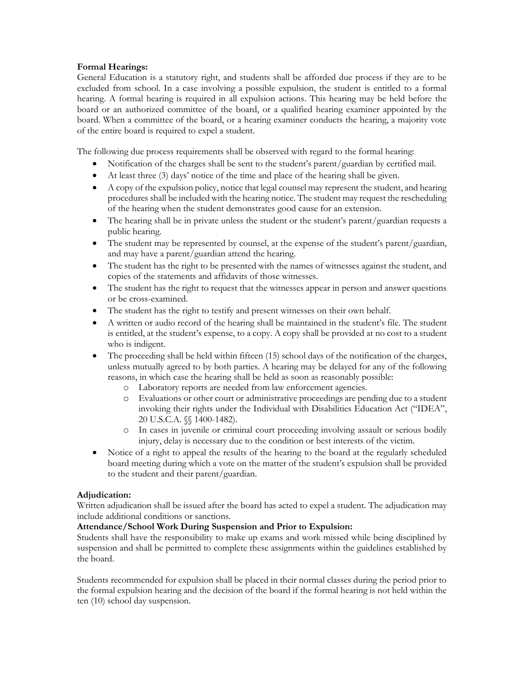# **Formal Hearings:**

General Education is a statutory right, and students shall be afforded due process if they are to be excluded from school. In a case involving a possible expulsion, the student is entitled to a formal hearing. A formal hearing is required in all expulsion actions. This hearing may be held before the board or an authorized committee of the board, or a qualified hearing examiner appointed by the board. When a committee of the board, or a hearing examiner conducts the hearing, a majority vote of the entire board is required to expel a student.

The following due process requirements shall be observed with regard to the formal hearing:

- Notification of the charges shall be sent to the student's parent/guardian by certified mail.
- At least three (3) days' notice of the time and place of the hearing shall be given.
- A copy of the expulsion policy, notice that legal counsel may represent the student, and hearing procedures shall be included with the hearing notice. The student may request the rescheduling of the hearing when the student demonstrates good cause for an extension.
- The hearing shall be in private unless the student or the student's parent/guardian requests a public hearing.
- The student may be represented by counsel, at the expense of the student's parent/guardian, and may have a parent/guardian attend the hearing.
- The student has the right to be presented with the names of witnesses against the student, and copies of the statements and affidavits of those witnesses.
- The student has the right to request that the witnesses appear in person and answer questions or be cross-examined.
- The student has the right to testify and present witnesses on their own behalf.
- A written or audio record of the hearing shall be maintained in the student's file. The student is entitled, at the student's expense, to a copy. A copy shall be provided at no cost to a student who is indigent.
- The proceeding shall be held within fifteen (15) school days of the notification of the charges, unless mutually agreed to by both parties. A hearing may be delayed for any of the following reasons, in which case the hearing shall be held as soon as reasonably possible:
	- o Laboratory reports are needed from law enforcement agencies.
	- o Evaluations or other court or administrative proceedings are pending due to a student invoking their rights under the Individual with Disabilities Education Act ("IDEA", 20 U.S.C.A. §§ 1400-1482).
	- o In cases in juvenile or criminal court proceeding involving assault or serious bodily injury, delay is necessary due to the condition or best interests of the victim.
- Notice of a right to appeal the results of the hearing to the board at the regularly scheduled board meeting during which a vote on the matter of the student's expulsion shall be provided to the student and their parent/guardian.

# **Adjudication:**

Written adjudication shall be issued after the board has acted to expel a student. The adjudication may include additional conditions or sanctions.

# **Attendance/School Work During Suspension and Prior to Expulsion:**

Students shall have the responsibility to make up exams and work missed while being disciplined by suspension and shall be permitted to complete these assignments within the guidelines established by the board.

Students recommended for expulsion shall be placed in their normal classes during the period prior to the formal expulsion hearing and the decision of the board if the formal hearing is not held within the ten (10) school day suspension.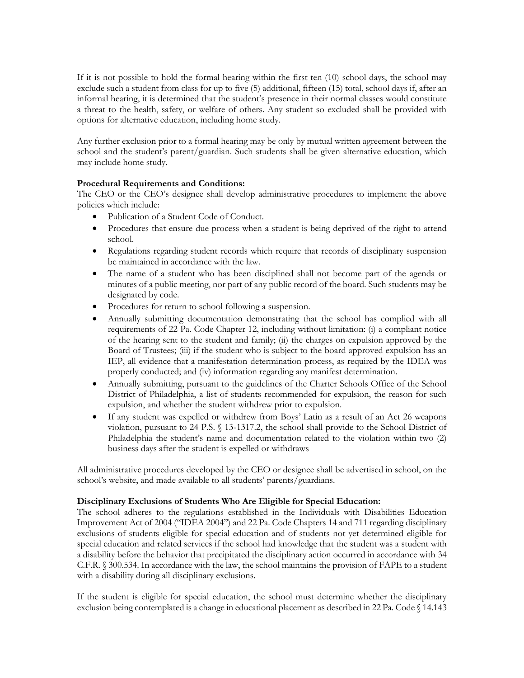If it is not possible to hold the formal hearing within the first ten (10) school days, the school may exclude such a student from class for up to five (5) additional, fifteen (15) total, school days if, after an informal hearing, it is determined that the student's presence in their normal classes would constitute a threat to the health, safety, or welfare of others. Any student so excluded shall be provided with options for alternative education, including home study.

Any further exclusion prior to a formal hearing may be only by mutual written agreement between the school and the student's parent/guardian. Such students shall be given alternative education, which may include home study.

# **Procedural Requirements and Conditions:**

The CEO or the CEO's designee shall develop administrative procedures to implement the above policies which include:

- Publication of a Student Code of Conduct.
- Procedures that ensure due process when a student is being deprived of the right to attend school.
- Regulations regarding student records which require that records of disciplinary suspension be maintained in accordance with the law.
- The name of a student who has been disciplined shall not become part of the agenda or minutes of a public meeting, nor part of any public record of the board. Such students may be designated by code.
- Procedures for return to school following a suspension.
- Annually submitting documentation demonstrating that the school has complied with all requirements of 22 Pa. Code Chapter 12, including without limitation: (i) a compliant notice of the hearing sent to the student and family; (ii) the charges on expulsion approved by the Board of Trustees; (iii) if the student who is subject to the board approved expulsion has an IEP, all evidence that a manifestation determination process, as required by the IDEA was properly conducted; and (iv) information regarding any manifest determination.
- Annually submitting, pursuant to the guidelines of the Charter Schools Office of the School District of Philadelphia, a list of students recommended for expulsion, the reason for such expulsion, and whether the student withdrew prior to expulsion.
- If any student was expelled or withdrew from Boys' Latin as a result of an Act 26 weapons violation, pursuant to 24 P.S. § 13-1317.2, the school shall provide to the School District of Philadelphia the student's name and documentation related to the violation within two (2) business days after the student is expelled or withdraws

All administrative procedures developed by the CEO or designee shall be advertised in school, on the school's website, and made available to all students' parents/guardians.

# **Disciplinary Exclusions of Students Who Are Eligible for Special Education:**

The school adheres to the regulations established in the Individuals with Disabilities Education Improvement Act of 2004 ("IDEA 2004") and 22 Pa. Code Chapters 14 and 711 regarding disciplinary exclusions of students eligible for special education and of students not yet determined eligible for special education and related services if the school had knowledge that the student was a student with a disability before the behavior that precipitated the disciplinary action occurred in accordance with 34 C.F.R. § 300.534. In accordance with the law, the school maintains the provision of FAPE to a student with a disability during all disciplinary exclusions.

If the student is eligible for special education, the school must determine whether the disciplinary exclusion being contemplated is a change in educational placement as described in 22 Pa. Code § 14.143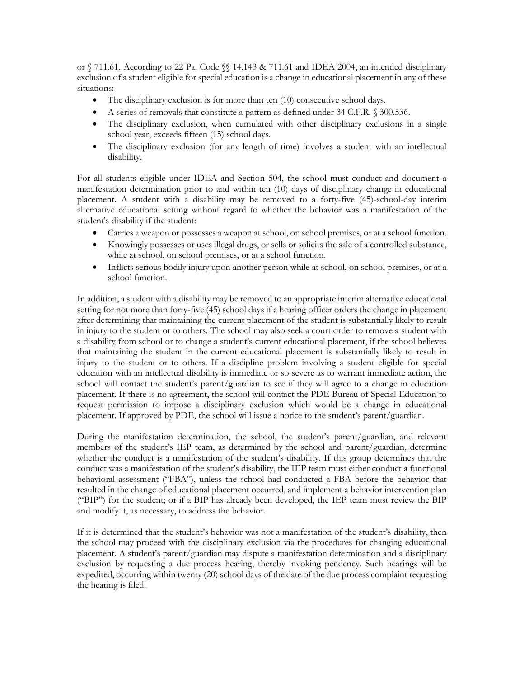or § 711.61. According to 22 Pa. Code §§ 14.143 & 711.61 and IDEA 2004, an intended disciplinary exclusion of a student eligible for special education is a change in educational placement in any of these situations:

- The disciplinary exclusion is for more than ten (10) consecutive school days.
- A series of removals that constitute a pattern as defined under 34 C.F.R. § 300.536.
- The disciplinary exclusion, when cumulated with other disciplinary exclusions in a single school year, exceeds fifteen (15) school days.
- The disciplinary exclusion (for any length of time) involves a student with an intellectual disability.

For all students eligible under IDEA and Section 504, the school must conduct and document a manifestation determination prior to and within ten (10) days of disciplinary change in educational placement. A student with a disability may be removed to a forty-five (45)-school-day interim alternative educational setting without regard to whether the behavior was a manifestation of the student's disability if the student:

- Carries a weapon or possesses a weapon at school, on school premises, or at a school function.
- Knowingly possesses or uses illegal drugs, or sells or solicits the sale of a controlled substance, while at school, on school premises, or at a school function.
- Inflicts serious bodily injury upon another person while at school, on school premises, or at a school function.

In addition, a student with a disability may be removed to an appropriate interim alternative educational setting for not more than forty-five (45) school days if a hearing officer orders the change in placement after determining that maintaining the current placement of the student is substantially likely to result in injury to the student or to others. The school may also seek a court order to remove a student with a disability from school or to change a student's current educational placement, if the school believes that maintaining the student in the current educational placement is substantially likely to result in injury to the student or to others. If a discipline problem involving a student eligible for special education with an intellectual disability is immediate or so severe as to warrant immediate action, the school will contact the student's parent/guardian to see if they will agree to a change in education placement. If there is no agreement, the school will contact the PDE Bureau of Special Education to request permission to impose a disciplinary exclusion which would be a change in educational placement. If approved by PDE, the school will issue a notice to the student's parent/guardian.

During the manifestation determination, the school, the student's parent/guardian, and relevant members of the student's IEP team, as determined by the school and parent/guardian, determine whether the conduct is a manifestation of the student's disability. If this group determines that the conduct was a manifestation of the student's disability, the IEP team must either conduct a functional behavioral assessment ("FBA"), unless the school had conducted a FBA before the behavior that resulted in the change of educational placement occurred, and implement a behavior intervention plan ("BIP") for the student; or if a BIP has already been developed, the IEP team must review the BIP and modify it, as necessary, to address the behavior.

If it is determined that the student's behavior was not a manifestation of the student's disability, then the school may proceed with the disciplinary exclusion via the procedures for changing educational placement. A student's parent/guardian may dispute a manifestation determination and a disciplinary exclusion by requesting a due process hearing, thereby invoking pendency. Such hearings will be expedited, occurring within twenty (20) school days of the date of the due process complaint requesting the hearing is filed.